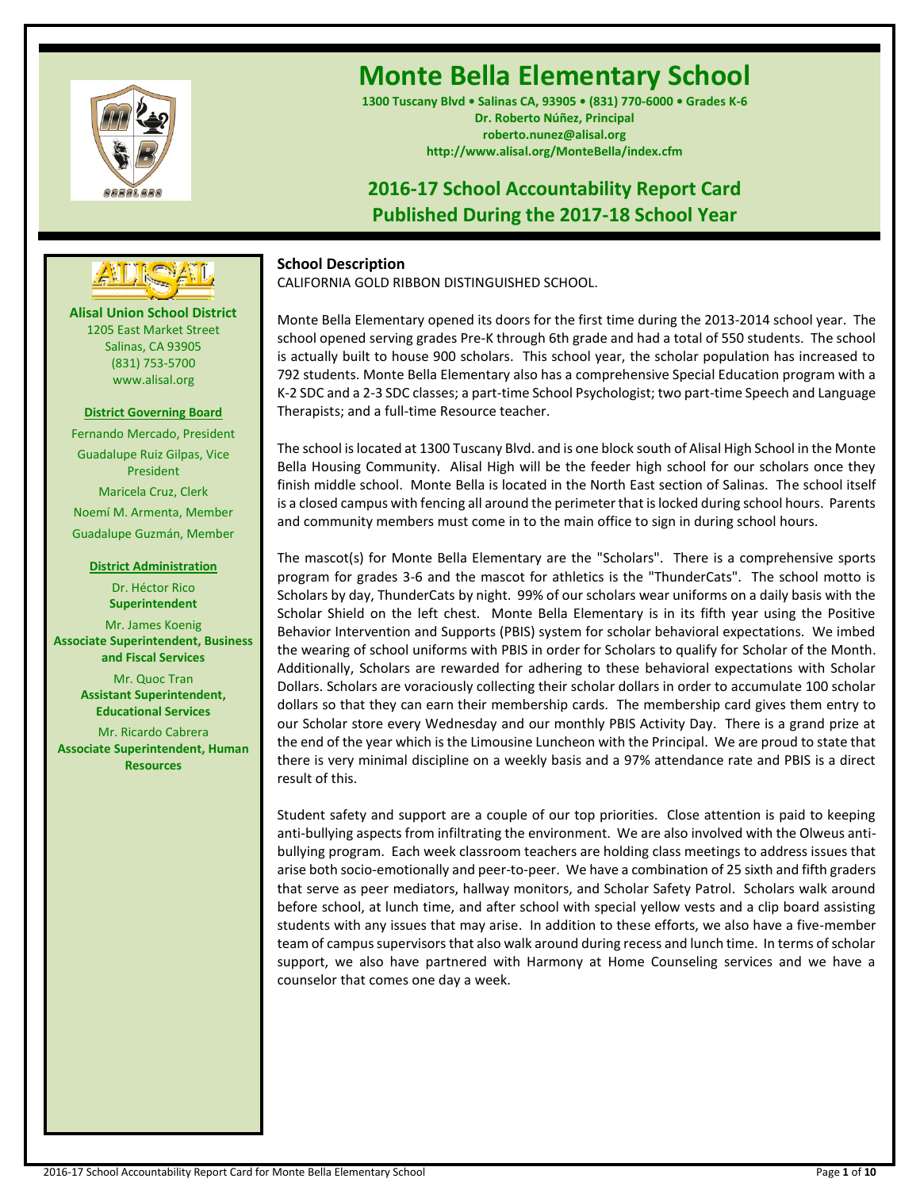

**Alisal Union School District** 1205 East Market Street Salinas, CA 93905 (831) 753-5700 www.alisal.org

**---- ----**

**District Governing Board** Fernando Mercado, President Guadalupe Ruiz Gilpas, Vice President Maricela Cruz, Clerk Noemí M. Armenta, Member Guadalupe Guzmán, Member

**District Administration** Dr. Héctor Rico **Superintendent** Mr. James Koenig **Associate Superintendent, Business and Fiscal Services** Mr. Quoc Tran **Assistant Superintendent, Educational Services** Mr. Ricardo Cabrera **Associate Superintendent, Human Resources**

# **Monte Bella Elementary School**

**1300 Tuscany Blvd • Salinas CA, 93905 • (831) 770-6000 • Grades K-6 Dr. Roberto Núñez, Principal roberto.nunez@alisal.org http://www.alisal.org/MonteBella/index.cfm**

# **2016-17 School Accountability Report Card Published During the 2017-18 School Year**



**School Description**

CALIFORNIA GOLD RIBBON DISTINGUISHED SCHOOL.

Monte Bella Elementary opened its doors for the first time during the 2013-2014 school year. The school opened serving grades Pre-K through 6th grade and had a total of 550 students. The school is actually built to house 900 scholars. This school year, the scholar population has increased to 792 students. Monte Bella Elementary also has a comprehensive Special Education program with a K-2 SDC and a 2-3 SDC classes; a part-time School Psychologist; two part-time Speech and Language Therapists; and a full-time Resource teacher.

The school is located at 1300 Tuscany Blvd. and is one block south of Alisal High School in the Monte Bella Housing Community. Alisal High will be the feeder high school for our scholars once they finish middle school. Monte Bella is located in the North East section of Salinas. The school itself is a closed campus with fencing all around the perimeter that is locked during school hours. Parents and community members must come in to the main office to sign in during school hours.

The mascot(s) for Monte Bella Elementary are the "Scholars". There is a comprehensive sports program for grades 3-6 and the mascot for athletics is the "ThunderCats". The school motto is Scholars by day, ThunderCats by night. 99% of our scholars wear uniforms on a daily basis with the Scholar Shield on the left chest. Monte Bella Elementary is in its fifth year using the Positive Behavior Intervention and Supports (PBIS) system for scholar behavioral expectations. We imbed the wearing of school uniforms with PBIS in order for Scholars to qualify for Scholar of the Month. Additionally, Scholars are rewarded for adhering to these behavioral expectations with Scholar Dollars. Scholars are voraciously collecting their scholar dollars in order to accumulate 100 scholar dollars so that they can earn their membership cards. The membership card gives them entry to our Scholar store every Wednesday and our monthly PBIS Activity Day. There is a grand prize at the end of the year which is the Limousine Luncheon with the Principal. We are proud to state that there is very minimal discipline on a weekly basis and a 97% attendance rate and PBIS is a direct result of this.

Student safety and support are a couple of our top priorities. Close attention is paid to keeping anti-bullying aspects from infiltrating the environment. We are also involved with the Olweus antibullying program. Each week classroom teachers are holding class meetings to address issues that arise both socio-emotionally and peer-to-peer. We have a combination of 25 sixth and fifth graders that serve as peer mediators, hallway monitors, and Scholar Safety Patrol. Scholars walk around before school, at lunch time, and after school with special yellow vests and a clip board assisting students with any issues that may arise. In addition to these efforts, we also have a five-member team of campus supervisors that also walk around during recess and lunch time. In terms of scholar support, we also have partnered with Harmony at Home Counseling services and we have a counselor that comes one day a week.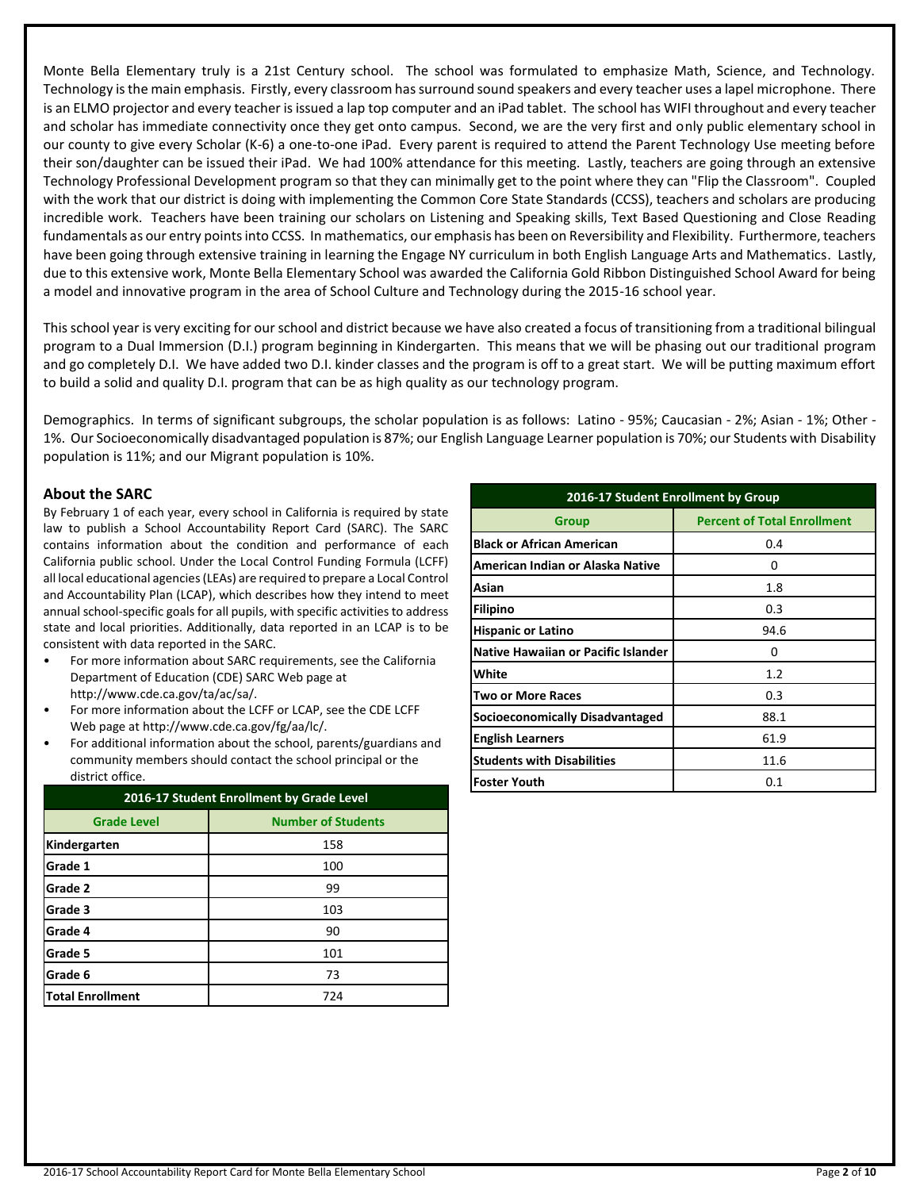Monte Bella Elementary truly is a 21st Century school. The school was formulated to emphasize Math, Science, and Technology. Technology is the main emphasis. Firstly, every classroom has surround sound speakers and every teacher uses a lapel microphone. There is an ELMO projector and every teacher is issued a lap top computer and an iPad tablet. The school has WIFI throughout and every teacher and scholar has immediate connectivity once they get onto campus. Second, we are the very first and only public elementary school in our county to give every Scholar (K-6) a one-to-one iPad. Every parent is required to attend the Parent Technology Use meeting before their son/daughter can be issued their iPad. We had 100% attendance for this meeting. Lastly, teachers are going through an extensive Technology Professional Development program so that they can minimally get to the point where they can "Flip the Classroom". Coupled with the work that our district is doing with implementing the Common Core State Standards (CCSS), teachers and scholars are producing incredible work. Teachers have been training our scholars on Listening and Speaking skills, Text Based Questioning and Close Reading fundamentals as our entry points into CCSS. In mathematics, our emphasis has been on Reversibility and Flexibility. Furthermore, teachers have been going through extensive training in learning the Engage NY curriculum in both English Language Arts and Mathematics. Lastly, due to this extensive work, Monte Bella Elementary School was awarded the California Gold Ribbon Distinguished School Award for being a model and innovative program in the area of School Culture and Technology during the 2015-16 school year.

This school year is very exciting for our school and district because we have also created a focus of transitioning from a traditional bilingual program to a Dual Immersion (D.I.) program beginning in Kindergarten. This means that we will be phasing out our traditional program and go completely D.I. We have added two D.I. kinder classes and the program is off to a great start. We will be putting maximum effort to build a solid and quality D.I. program that can be as high quality as our technology program.

Demographics. In terms of significant subgroups, the scholar population is as follows: Latino - 95%; Caucasian - 2%; Asian - 1%; Other - 1%. Our Socioeconomically disadvantaged population is 87%; our English Language Learner population is 70%; our Students with Disability population is 11%; and our Migrant population is 10%.

## **About the SARC**

By February 1 of each year, every school in California is required by state law to publish a School Accountability Report Card (SARC). The SARC contains information about the condition and performance of each California public school. Under the Local Control Funding Formula (LCFF) all local educational agencies (LEAs) are required to prepare a Local Control and Accountability Plan (LCAP), which describes how they intend to meet annual school-specific goals for all pupils, with specific activities to address state and local priorities. Additionally, data reported in an LCAP is to be consistent with data reported in the SARC.

- For more information about SARC requirements, see the California Department of Education (CDE) SARC Web page at http://www.cde.ca.gov/ta/ac/sa/.
- For more information about the LCFF or LCAP, see the CDE LCFF Web page at http://www.cde.ca.gov/fg/aa/lc/.
- For additional information about the school, parents/guardians and community members should contact the school principal or the district office.

| 2016-17 Student Enrollment by Grade Level |                           |  |  |
|-------------------------------------------|---------------------------|--|--|
| <b>Grade Level</b>                        | <b>Number of Students</b> |  |  |
| Kindergarten                              | 158                       |  |  |
| Grade 1                                   | 100                       |  |  |
| Grade 2                                   | 99                        |  |  |
| Grade 3                                   | 103                       |  |  |
| Grade 4                                   | 90                        |  |  |
| Grade 5                                   | 101                       |  |  |
| Grade 6                                   | 73                        |  |  |
| <b>Total Enrollment</b>                   | 724                       |  |  |

| 2016-17 Student Enrollment by Group        |                                    |  |  |  |  |
|--------------------------------------------|------------------------------------|--|--|--|--|
| <b>Group</b>                               | <b>Percent of Total Enrollment</b> |  |  |  |  |
| <b>Black or African American</b>           | 0.4                                |  |  |  |  |
| American Indian or Alaska Native           | O                                  |  |  |  |  |
| Asian                                      | 1.8                                |  |  |  |  |
| <b>Filipino</b>                            | 0.3                                |  |  |  |  |
| <b>Hispanic or Latino</b>                  | 94.6                               |  |  |  |  |
| <b>Native Hawaiian or Pacific Islander</b> | ŋ                                  |  |  |  |  |
| White                                      | 1.2                                |  |  |  |  |
| <b>Two or More Races</b>                   | 0.3                                |  |  |  |  |
| Socioeconomically Disadvantaged            | 88.1                               |  |  |  |  |
| <b>English Learners</b>                    | 61.9                               |  |  |  |  |
| <b>Students with Disabilities</b>          | 11.6                               |  |  |  |  |
| <b>Foster Youth</b>                        | 0.1                                |  |  |  |  |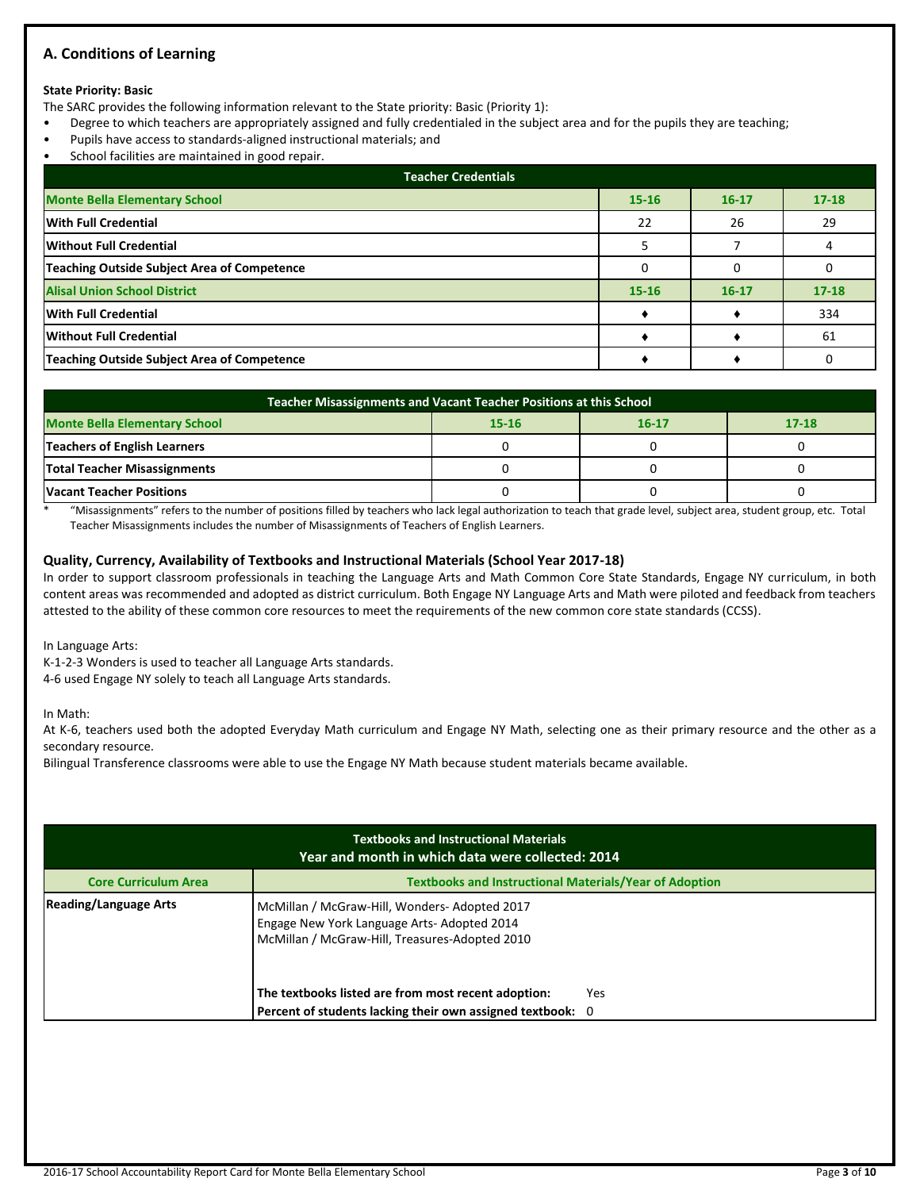# **A. Conditions of Learning**

#### **State Priority: Basic**

The SARC provides the following information relevant to the State priority: Basic (Priority 1):

- Degree to which teachers are appropriately assigned and fully credentialed in the subject area and for the pupils they are teaching;
- Pupils have access to standards-aligned instructional materials; and
- School facilities are maintained in good repair.

| <b>Teacher Credentials</b>                         |           |           |           |  |  |  |  |
|----------------------------------------------------|-----------|-----------|-----------|--|--|--|--|
| <b>Monte Bella Elementary School</b>               | $15 - 16$ | $16 - 17$ | $17 - 18$ |  |  |  |  |
| With Full Credential                               | 22        | 26        | 29        |  |  |  |  |
| Without Full Credential                            |           |           |           |  |  |  |  |
| <b>Teaching Outside Subject Area of Competence</b> |           |           |           |  |  |  |  |
| <b>Alisal Union School District</b>                | $15 - 16$ | $16 - 17$ | $17 - 18$ |  |  |  |  |
| With Full Credential                               |           |           | 334       |  |  |  |  |
| Without Full Credential                            |           |           | 61        |  |  |  |  |
| <b>Teaching Outside Subject Area of Competence</b> |           |           |           |  |  |  |  |

| Teacher Misassignments and Vacant Teacher Positions at this School        |  |  |  |  |  |  |  |
|---------------------------------------------------------------------------|--|--|--|--|--|--|--|
| <b>Monte Bella Elementary School</b><br>$17 - 18$<br>$16-17$<br>$15 - 16$ |  |  |  |  |  |  |  |
| <b>Teachers of English Learners</b>                                       |  |  |  |  |  |  |  |
| <b>Total Teacher Misassignments</b>                                       |  |  |  |  |  |  |  |
| <b>Vacant Teacher Positions</b>                                           |  |  |  |  |  |  |  |

\* "Misassignments" refers to the number of positions filled by teachers who lack legal authorization to teach that grade level, subject area, student group, etc. Total Teacher Misassignments includes the number of Misassignments of Teachers of English Learners.

#### **Quality, Currency, Availability of Textbooks and Instructional Materials (School Year 2017-18)**

In order to support classroom professionals in teaching the Language Arts and Math Common Core State Standards, Engage NY curriculum, in both content areas was recommended and adopted as district curriculum. Both Engage NY Language Arts and Math were piloted and feedback from teachers attested to the ability of these common core resources to meet the requirements of the new common core state standards (CCSS).

In Language Arts:

K-1-2-3 Wonders is used to teacher all Language Arts standards.

4-6 used Engage NY solely to teach all Language Arts standards.

In Math:

At K-6, teachers used both the adopted Everyday Math curriculum and Engage NY Math, selecting one as their primary resource and the other as a secondary resource.

Bilingual Transference classrooms were able to use the Engage NY Math because student materials became available.

| <b>Textbooks and Instructional Materials</b><br>Year and month in which data were collected: 2014                                                                             |                                                               |      |  |  |  |  |  |
|-------------------------------------------------------------------------------------------------------------------------------------------------------------------------------|---------------------------------------------------------------|------|--|--|--|--|--|
| <b>Core Curriculum Area</b>                                                                                                                                                   | <b>Textbooks and Instructional Materials/Year of Adoption</b> |      |  |  |  |  |  |
| <b>Reading/Language Arts</b><br>McMillan / McGraw-Hill, Wonders-Adopted 2017<br>Engage New York Language Arts- Adopted 2014<br>McMillan / McGraw-Hill, Treasures-Adopted 2010 |                                                               |      |  |  |  |  |  |
|                                                                                                                                                                               | The textbooks listed are from most recent adoption:           | Yes. |  |  |  |  |  |
|                                                                                                                                                                               | Percent of students lacking their own assigned textbook: 0    |      |  |  |  |  |  |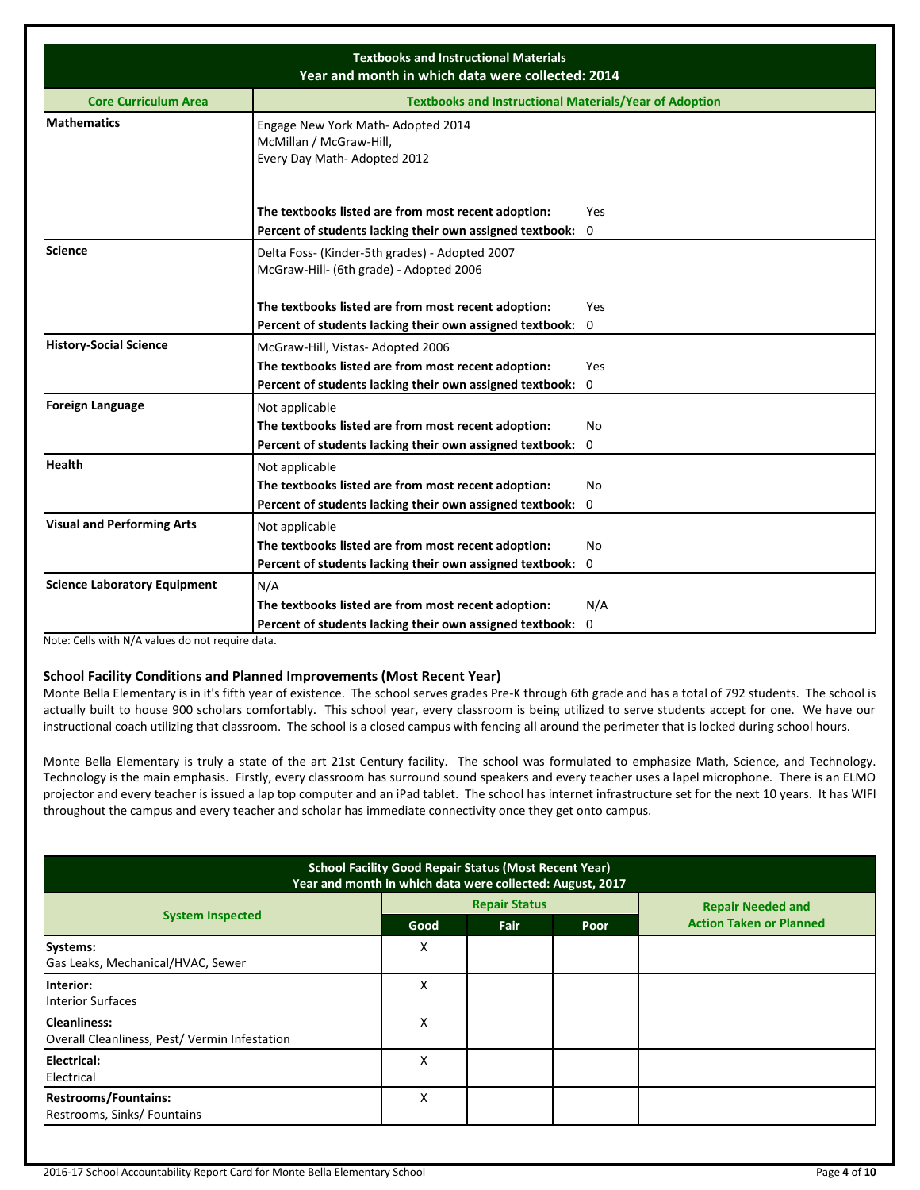| <b>Textbooks and Instructional Materials</b><br>Year and month in which data were collected: 2014 |                                                                                              |     |  |  |  |  |  |
|---------------------------------------------------------------------------------------------------|----------------------------------------------------------------------------------------------|-----|--|--|--|--|--|
| <b>Core Curriculum Area</b>                                                                       | <b>Textbooks and Instructional Materials/Year of Adoption</b>                                |     |  |  |  |  |  |
| <b>Mathematics</b>                                                                                | Engage New York Math- Adopted 2014<br>McMillan / McGraw-Hill,<br>Every Day Math-Adopted 2012 |     |  |  |  |  |  |
|                                                                                                   | The textbooks listed are from most recent adoption:                                          | Yes |  |  |  |  |  |
|                                                                                                   | Percent of students lacking their own assigned textbook: 0                                   |     |  |  |  |  |  |
| <b>Science</b>                                                                                    | Delta Foss- (Kinder-5th grades) - Adopted 2007<br>McGraw-Hill- (6th grade) - Adopted 2006    |     |  |  |  |  |  |
|                                                                                                   | The textbooks listed are from most recent adoption:                                          | Yes |  |  |  |  |  |
|                                                                                                   | Percent of students lacking their own assigned textbook:                                     | 0   |  |  |  |  |  |
| <b>History-Social Science</b>                                                                     | McGraw-Hill, Vistas-Adopted 2006                                                             |     |  |  |  |  |  |
|                                                                                                   | The textbooks listed are from most recent adoption:                                          | Yes |  |  |  |  |  |
|                                                                                                   | Percent of students lacking their own assigned textbook: 0                                   |     |  |  |  |  |  |
| <b>Foreign Language</b>                                                                           | Not applicable                                                                               |     |  |  |  |  |  |
|                                                                                                   | The textbooks listed are from most recent adoption:                                          | No  |  |  |  |  |  |
|                                                                                                   | Percent of students lacking their own assigned textbook: 0                                   |     |  |  |  |  |  |
| <b>Health</b>                                                                                     | Not applicable                                                                               |     |  |  |  |  |  |
|                                                                                                   | The textbooks listed are from most recent adoption:                                          | No  |  |  |  |  |  |
|                                                                                                   | Percent of students lacking their own assigned textbook:                                     | 0   |  |  |  |  |  |
| <b>Visual and Performing Arts</b>                                                                 | Not applicable                                                                               |     |  |  |  |  |  |
|                                                                                                   | The textbooks listed are from most recent adoption:                                          | No  |  |  |  |  |  |
|                                                                                                   | Percent of students lacking their own assigned textbook: 0                                   |     |  |  |  |  |  |
| <b>Science Laboratory Equipment</b>                                                               | N/A                                                                                          |     |  |  |  |  |  |
|                                                                                                   | The textbooks listed are from most recent adoption:                                          | N/A |  |  |  |  |  |
|                                                                                                   | Percent of students lacking their own assigned textbook: 0                                   |     |  |  |  |  |  |

Note: Cells with N/A values do not require data.

# **School Facility Conditions and Planned Improvements (Most Recent Year)**

Monte Bella Elementary is in it's fifth year of existence. The school serves grades Pre-K through 6th grade and has a total of 792 students. The school is actually built to house 900 scholars comfortably. This school year, every classroom is being utilized to serve students accept for one. We have our instructional coach utilizing that classroom. The school is a closed campus with fencing all around the perimeter that is locked during school hours.

Monte Bella Elementary is truly a state of the art 21st Century facility. The school was formulated to emphasize Math, Science, and Technology. Technology is the main emphasis. Firstly, every classroom has surround sound speakers and every teacher uses a lapel microphone. There is an ELMO projector and every teacher is issued a lap top computer and an iPad tablet. The school has internet infrastructure set for the next 10 years. It has WIFI throughout the campus and every teacher and scholar has immediate connectivity once they get onto campus.

| <b>School Facility Good Repair Status (Most Recent Year)</b><br>Year and month in which data were collected: August, 2017 |      |                      |      |                                |  |  |
|---------------------------------------------------------------------------------------------------------------------------|------|----------------------|------|--------------------------------|--|--|
|                                                                                                                           |      | <b>Repair Status</b> |      | <b>Repair Needed and</b>       |  |  |
| <b>System Inspected</b>                                                                                                   | Good | <b>Fair</b>          | Poor | <b>Action Taken or Planned</b> |  |  |
| Systems:<br>Gas Leaks, Mechanical/HVAC, Sewer                                                                             | Χ    |                      |      |                                |  |  |
| Interior:<br><b>Interior Surfaces</b>                                                                                     | x    |                      |      |                                |  |  |
| <b>Cleanliness:</b><br>Overall Cleanliness, Pest/ Vermin Infestation                                                      | x    |                      |      |                                |  |  |
| Electrical:<br>Electrical                                                                                                 | x    |                      |      |                                |  |  |
| <b>Restrooms/Fountains:</b><br>Restrooms, Sinks/ Fountains                                                                | Χ    |                      |      |                                |  |  |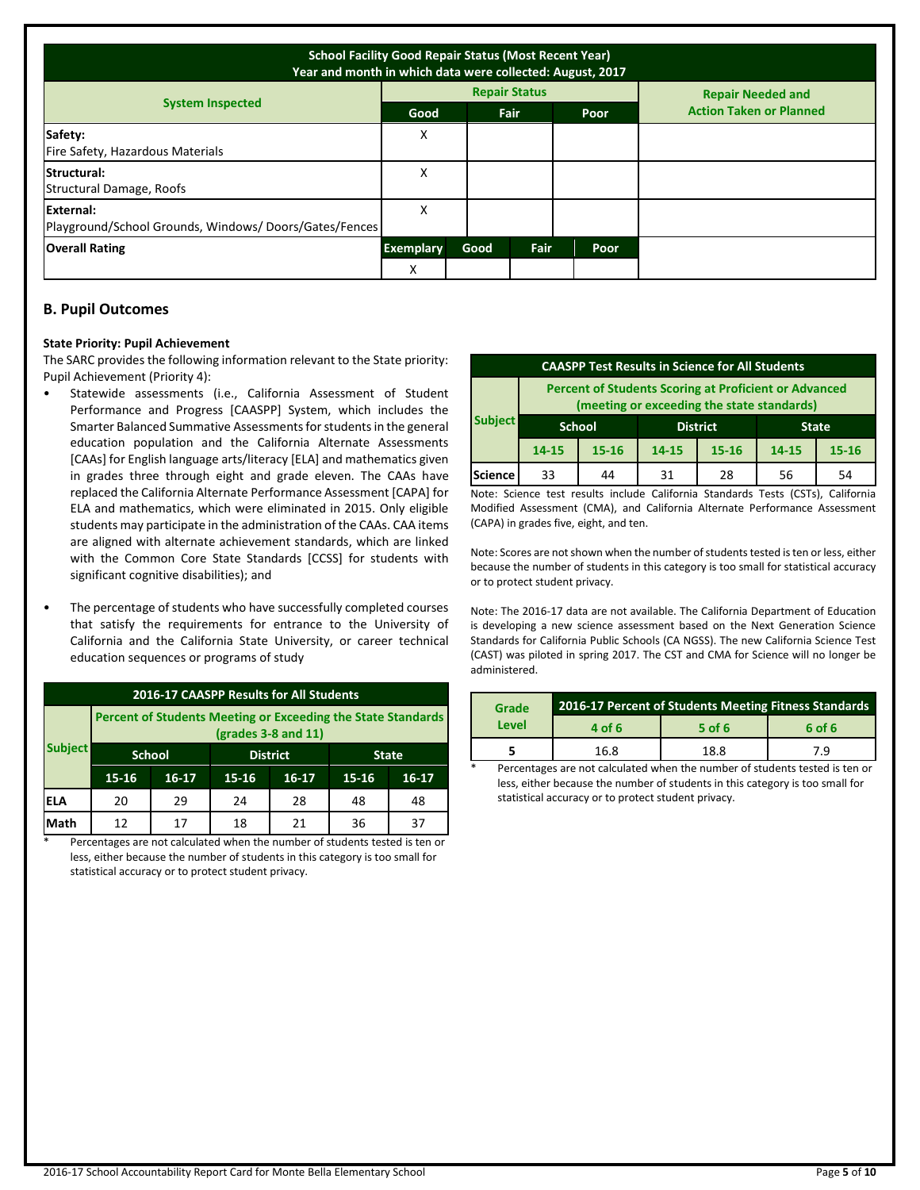| <b>School Facility Good Repair Status (Most Recent Year)</b><br>Year and month in which data were collected: August, 2017 |                  |      |                      |      |                                |  |  |
|---------------------------------------------------------------------------------------------------------------------------|------------------|------|----------------------|------|--------------------------------|--|--|
|                                                                                                                           |                  |      | <b>Repair Status</b> |      | <b>Repair Needed and</b>       |  |  |
| <b>System Inspected</b>                                                                                                   | Good             |      | <b>Fair</b>          | Poor | <b>Action Taken or Planned</b> |  |  |
| Safety:<br>Fire Safety, Hazardous Materials                                                                               | Χ                |      |                      |      |                                |  |  |
| Structural:<br>Structural Damage, Roofs                                                                                   | x                |      |                      |      |                                |  |  |
| External:<br>Playground/School Grounds, Windows/Doors/Gates/Fences                                                        | х                |      |                      |      |                                |  |  |
| <b>Overall Rating</b>                                                                                                     | <b>Exemplary</b> | Good | Fair                 | Poor |                                |  |  |
|                                                                                                                           | X                |      |                      |      |                                |  |  |

# **B. Pupil Outcomes**

#### **State Priority: Pupil Achievement**

The SARC provides the following information relevant to the State priority: Pupil Achievement (Priority 4):

- Statewide assessments (i.e., California Assessment of Student Performance and Progress [CAASPP] System, which includes the Smarter Balanced Summative Assessments for students in the general education population and the California Alternate Assessments [CAAs] for English language arts/literacy [ELA] and mathematics given in grades three through eight and grade eleven. The CAAs have replaced the California Alternate Performance Assessment [CAPA] for ELA and mathematics, which were eliminated in 2015. Only eligible students may participate in the administration of the CAAs. CAA items are aligned with alternate achievement standards, which are linked with the Common Core State Standards [CCSS] for students with significant cognitive disabilities); and
- The percentage of students who have successfully completed courses that satisfy the requirements for entrance to the University of California and the California State University, or career technical education sequences or programs of study

| 2016-17 CAASPP Results for All Students |                                                                                         |         |                 |           |              |         |  |  |
|-----------------------------------------|-----------------------------------------------------------------------------------------|---------|-----------------|-----------|--------------|---------|--|--|
|                                         | Percent of Students Meeting or Exceeding the State Standards<br>$2$ (grades 3-8 and 11) |         |                 |           |              |         |  |  |
| <b>Subject</b>                          | <b>School</b>                                                                           |         | <b>District</b> |           | <b>State</b> |         |  |  |
|                                         | 15-16                                                                                   | $16-17$ | $15 - 16$       | $16 - 17$ | $15 - 16$    | $16-17$ |  |  |
| IELA                                    | 20                                                                                      | 29      | 24              | 28        | 48           | 48      |  |  |
| Math                                    | 12                                                                                      | 17      | 18              | 21        | 36           | 37      |  |  |

Percentages are not calculated when the number of students tested is ten or less, either because the number of students in this category is too small for statistical accuracy or to protect student privacy.

| <b>CAASPP Test Results in Science for All Students</b>                                                     |               |           |                                 |    |       |           |  |
|------------------------------------------------------------------------------------------------------------|---------------|-----------|---------------------------------|----|-------|-----------|--|
| <b>Percent of Students Scoring at Proficient or Advanced</b><br>(meeting or exceeding the state standards) |               |           |                                 |    |       |           |  |
| <b>Subject</b>                                                                                             | <b>School</b> |           | <b>District</b><br><b>State</b> |    |       |           |  |
|                                                                                                            | 14-15         | $15 - 16$ | $15 - 16$<br>14-15              |    | 14-15 | $15 - 16$ |  |
| Science                                                                                                    | 33            | 44        | 31                              | 28 | 56    | 54        |  |

Note: Science test results include California Standards Tests (CSTs), California Modified Assessment (CMA), and California Alternate Performance Assessment (CAPA) in grades five, eight, and ten.

Note: Scores are not shown when the number of students tested is ten or less, either because the number of students in this category is too small for statistical accuracy or to protect student privacy.

Note: The 2016-17 data are not available. The California Department of Education is developing a new science assessment based on the Next Generation Science Standards for California Public Schools (CA NGSS). The new California Science Test (CAST) was piloted in spring 2017. The CST and CMA for Science will no longer be administered.

| Grade |                              | 2016-17 Percent of Students Meeting Fitness Standards |     |  |  |  |
|-------|------------------------------|-------------------------------------------------------|-----|--|--|--|
| Level | $5$ of 6<br>4 of 6<br>6 of 6 |                                                       |     |  |  |  |
|       | 16.8                         | 18.8                                                  | 7.9 |  |  |  |

Percentages are not calculated when the number of students tested is ten or less, either because the number of students in this category is too small for statistical accuracy or to protect student privacy.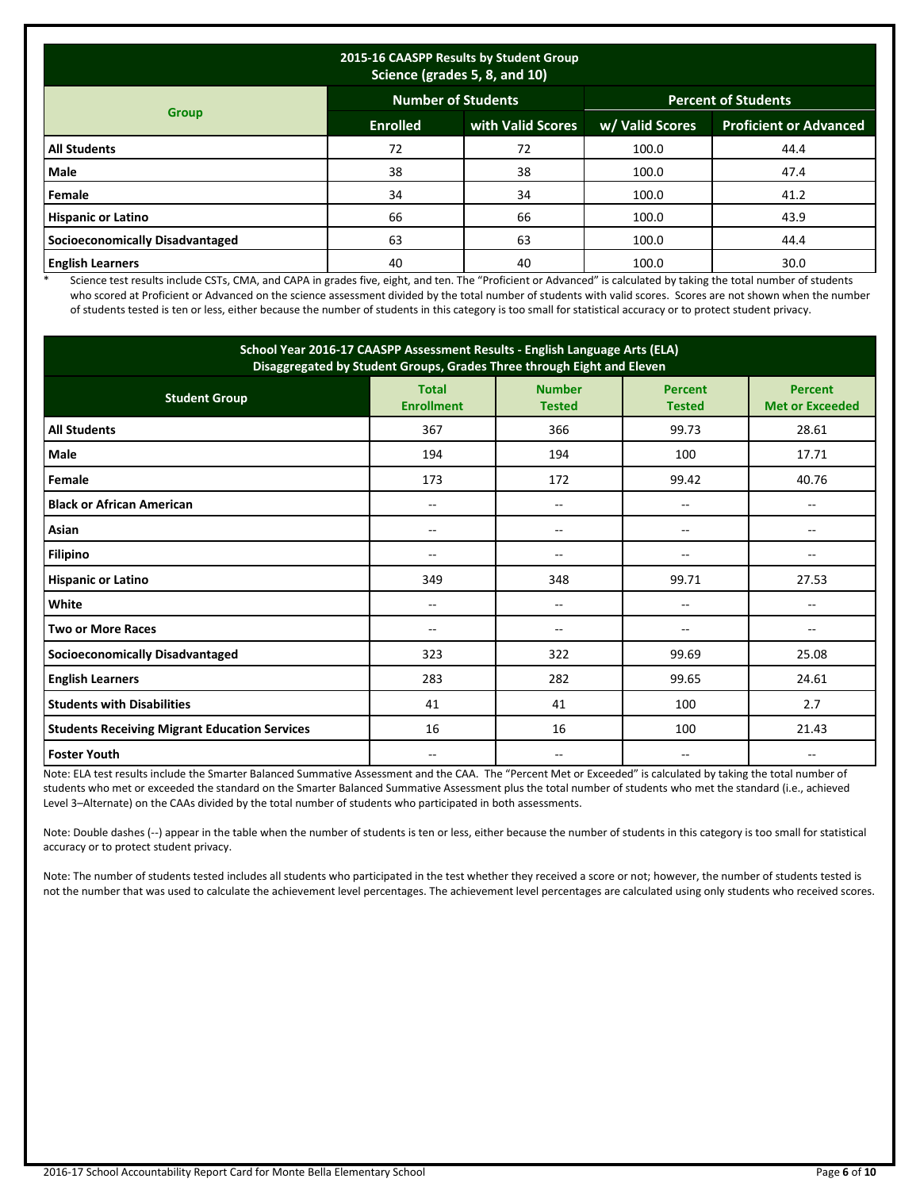| 2015-16 CAASPP Results by Student Group<br>Science (grades 5, 8, and 10) |                                                         |                   |                 |                               |  |  |  |  |
|--------------------------------------------------------------------------|---------------------------------------------------------|-------------------|-----------------|-------------------------------|--|--|--|--|
|                                                                          | <b>Number of Students</b><br><b>Percent of Students</b> |                   |                 |                               |  |  |  |  |
| <b>Group</b>                                                             | <b>Enrolled</b>                                         | with Valid Scores | w/ Valid Scores | <b>Proficient or Advanced</b> |  |  |  |  |
| <b>All Students</b>                                                      | 72                                                      | 72                | 100.0           | 44.4                          |  |  |  |  |
| <b>Male</b>                                                              | 38                                                      | 38                | 100.0           | 47.4                          |  |  |  |  |
| Female                                                                   | 34                                                      | 34                | 100.0           | 41.2                          |  |  |  |  |
| <b>Hispanic or Latino</b>                                                | 66                                                      | 66                | 100.0           | 43.9                          |  |  |  |  |
| <b>Socioeconomically Disadvantaged</b>                                   | 63                                                      | 63                | 100.0           | 44.4                          |  |  |  |  |
| <b>English Learners</b>                                                  | 40                                                      | 40                | 100.0           | 30.0                          |  |  |  |  |

\* Science test results include CSTs, CMA, and CAPA in grades five, eight, and ten. The "Proficient or Advanced" is calculated by taking the total number of students who scored at Proficient or Advanced on the science assessment divided by the total number of students with valid scores. Scores are not shown when the number of students tested is ten or less, either because the number of students in this category is too small for statistical accuracy or to protect student privacy.

| School Year 2016-17 CAASPP Assessment Results - English Language Arts (ELA)<br>Disaggregated by Student Groups, Grades Three through Eight and Eleven |                                                                     |                |                                 |                                          |  |  |
|-------------------------------------------------------------------------------------------------------------------------------------------------------|---------------------------------------------------------------------|----------------|---------------------------------|------------------------------------------|--|--|
| <b>Student Group</b>                                                                                                                                  | <b>Number</b><br><b>Total</b><br><b>Enrollment</b><br><b>Tested</b> |                | <b>Percent</b><br><b>Tested</b> | <b>Percent</b><br><b>Met or Exceeded</b> |  |  |
| <b>All Students</b>                                                                                                                                   | 367                                                                 | 366            | 99.73                           | 28.61                                    |  |  |
| Male                                                                                                                                                  | 194                                                                 | 194            | 100                             | 17.71                                    |  |  |
| Female                                                                                                                                                | 173                                                                 | 172            | 99.42                           | 40.76                                    |  |  |
| <b>Black or African American</b>                                                                                                                      | --                                                                  | $-$            | --                              | --                                       |  |  |
| Asian                                                                                                                                                 | --<br>--                                                            |                | --                              | $\hspace{0.05cm}$ – $\hspace{0.05cm}$    |  |  |
| <b>Filipino</b>                                                                                                                                       | $-$                                                                 | $-$            | --                              | $-$                                      |  |  |
| <b>Hispanic or Latino</b>                                                                                                                             | 349                                                                 | 348            | 99.71                           | 27.53                                    |  |  |
| White                                                                                                                                                 | $-$                                                                 | $\overline{a}$ | --                              | $\sim$                                   |  |  |
| <b>Two or More Races</b>                                                                                                                              | --                                                                  |                | --                              |                                          |  |  |
| <b>Socioeconomically Disadvantaged</b>                                                                                                                | 323                                                                 | 322            | 99.69                           | 25.08                                    |  |  |
| <b>English Learners</b>                                                                                                                               | 283                                                                 | 282            | 99.65                           | 24.61                                    |  |  |
| <b>Students with Disabilities</b>                                                                                                                     | 41                                                                  | 41             | 100                             | 2.7                                      |  |  |
| <b>Students Receiving Migrant Education Services</b>                                                                                                  | 16                                                                  | 16             | 100                             | 21.43                                    |  |  |
| <b>Foster Youth</b>                                                                                                                                   | $-$                                                                 | --             | --                              | --                                       |  |  |

Note: ELA test results include the Smarter Balanced Summative Assessment and the CAA. The "Percent Met or Exceeded" is calculated by taking the total number of students who met or exceeded the standard on the Smarter Balanced Summative Assessment plus the total number of students who met the standard (i.e., achieved Level 3–Alternate) on the CAAs divided by the total number of students who participated in both assessments.

Note: Double dashes (--) appear in the table when the number of students is ten or less, either because the number of students in this category is too small for statistical accuracy or to protect student privacy.

Note: The number of students tested includes all students who participated in the test whether they received a score or not; however, the number of students tested is not the number that was used to calculate the achievement level percentages. The achievement level percentages are calculated using only students who received scores.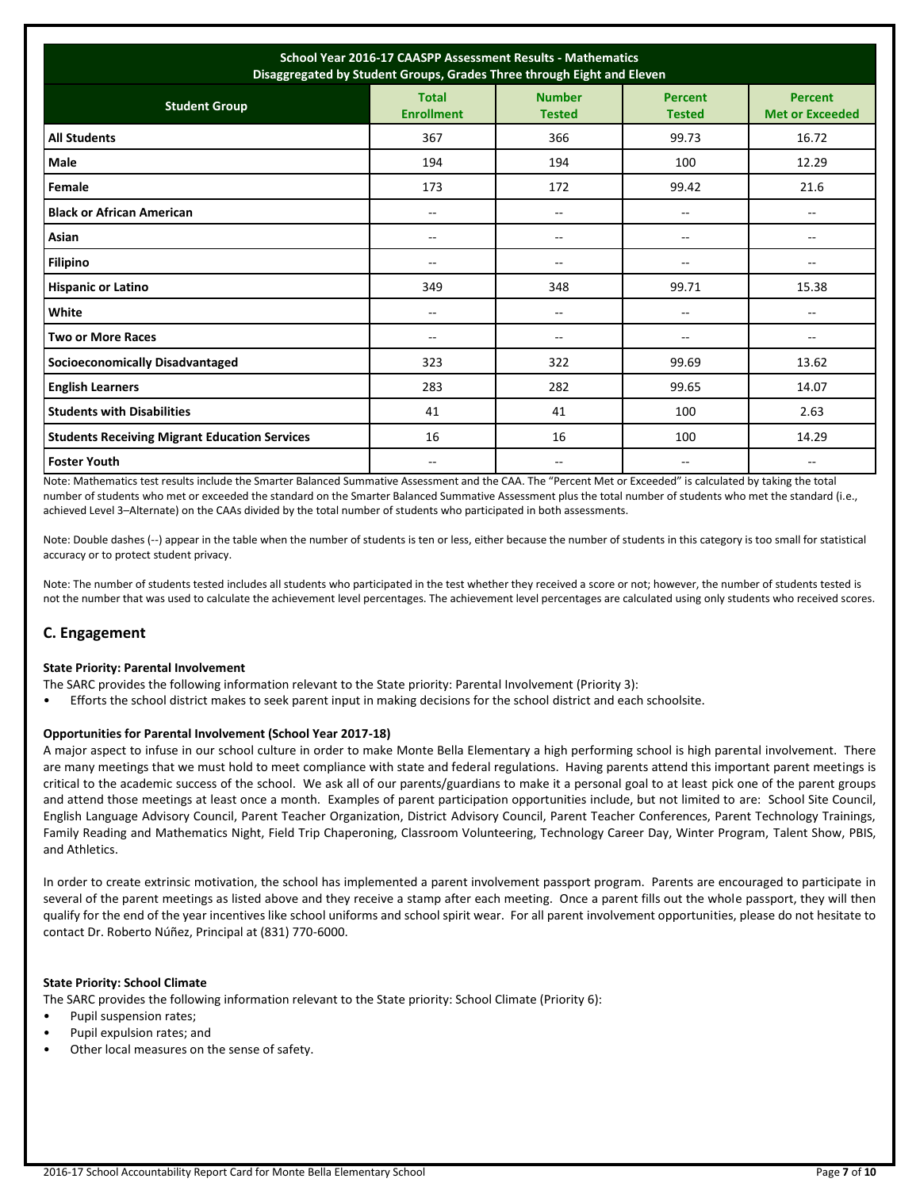| School Year 2016-17 CAASPP Assessment Results - Mathematics<br>Disaggregated by Student Groups, Grades Three through Eight and Eleven |                                   |                                |                                 |                                          |  |  |
|---------------------------------------------------------------------------------------------------------------------------------------|-----------------------------------|--------------------------------|---------------------------------|------------------------------------------|--|--|
| <b>Student Group</b>                                                                                                                  | <b>Total</b><br><b>Enrollment</b> | <b>Number</b><br><b>Tested</b> | <b>Percent</b><br><b>Tested</b> | <b>Percent</b><br><b>Met or Exceeded</b> |  |  |
| <b>All Students</b>                                                                                                                   | 367                               | 366                            | 99.73                           | 16.72                                    |  |  |
| <b>Male</b>                                                                                                                           | 194                               | 194                            | 100                             | 12.29                                    |  |  |
| Female                                                                                                                                | 173                               | 172                            | 99.42                           | 21.6                                     |  |  |
| <b>Black or African American</b>                                                                                                      | --                                | --                             | --                              | $\overline{\phantom{a}}$                 |  |  |
| Asian                                                                                                                                 | $- -$                             | $- -$                          | --                              | $\overline{\phantom{a}}$                 |  |  |
| <b>Filipino</b>                                                                                                                       | --                                | --                             | $-$                             | --                                       |  |  |
| <b>Hispanic or Latino</b>                                                                                                             | 349                               | 348                            | 99.71                           | 15.38                                    |  |  |
| White                                                                                                                                 | $- -$                             | $-$                            | --                              | --                                       |  |  |
| <b>Two or More Races</b>                                                                                                              | --                                | --                             | --                              | $\overline{\phantom{m}}$                 |  |  |
| <b>Socioeconomically Disadvantaged</b>                                                                                                | 323                               | 322                            | 99.69                           | 13.62                                    |  |  |
| <b>English Learners</b>                                                                                                               | 283                               | 282                            | 99.65                           | 14.07                                    |  |  |
| <b>Students with Disabilities</b>                                                                                                     | 41                                | 41                             | 100                             | 2.63                                     |  |  |
| <b>Students Receiving Migrant Education Services</b>                                                                                  | 16                                | 16                             | 100                             | 14.29                                    |  |  |
| <b>Foster Youth</b>                                                                                                                   | --                                | --                             | --                              | --                                       |  |  |

Note: Mathematics test results include the Smarter Balanced Summative Assessment and the CAA. The "Percent Met or Exceeded" is calculated by taking the total number of students who met or exceeded the standard on the Smarter Balanced Summative Assessment plus the total number of students who met the standard (i.e., achieved Level 3–Alternate) on the CAAs divided by the total number of students who participated in both assessments.

Note: Double dashes (--) appear in the table when the number of students is ten or less, either because the number of students in this category is too small for statistical accuracy or to protect student privacy.

Note: The number of students tested includes all students who participated in the test whether they received a score or not; however, the number of students tested is not the number that was used to calculate the achievement level percentages. The achievement level percentages are calculated using only students who received scores.

# **C. Engagement**

#### **State Priority: Parental Involvement**

- The SARC provides the following information relevant to the State priority: Parental Involvement (Priority 3):
- Efforts the school district makes to seek parent input in making decisions for the school district and each schoolsite.

#### **Opportunities for Parental Involvement (School Year 2017-18)**

A major aspect to infuse in our school culture in order to make Monte Bella Elementary a high performing school is high parental involvement. There are many meetings that we must hold to meet compliance with state and federal regulations. Having parents attend this important parent meetings is critical to the academic success of the school. We ask all of our parents/guardians to make it a personal goal to at least pick one of the parent groups and attend those meetings at least once a month. Examples of parent participation opportunities include, but not limited to are: School Site Council, English Language Advisory Council, Parent Teacher Organization, District Advisory Council, Parent Teacher Conferences, Parent Technology Trainings, Family Reading and Mathematics Night, Field Trip Chaperoning, Classroom Volunteering, Technology Career Day, Winter Program, Talent Show, PBIS, and Athletics.

In order to create extrinsic motivation, the school has implemented a parent involvement passport program. Parents are encouraged to participate in several of the parent meetings as listed above and they receive a stamp after each meeting. Once a parent fills out the whole passport, they will then qualify for the end of the year incentives like school uniforms and school spirit wear. For all parent involvement opportunities, please do not hesitate to contact Dr. Roberto Núñez, Principal at (831) 770-6000.

#### **State Priority: School Climate**

The SARC provides the following information relevant to the State priority: School Climate (Priority 6):

- Pupil suspension rates;
- Pupil expulsion rates; and
- Other local measures on the sense of safety.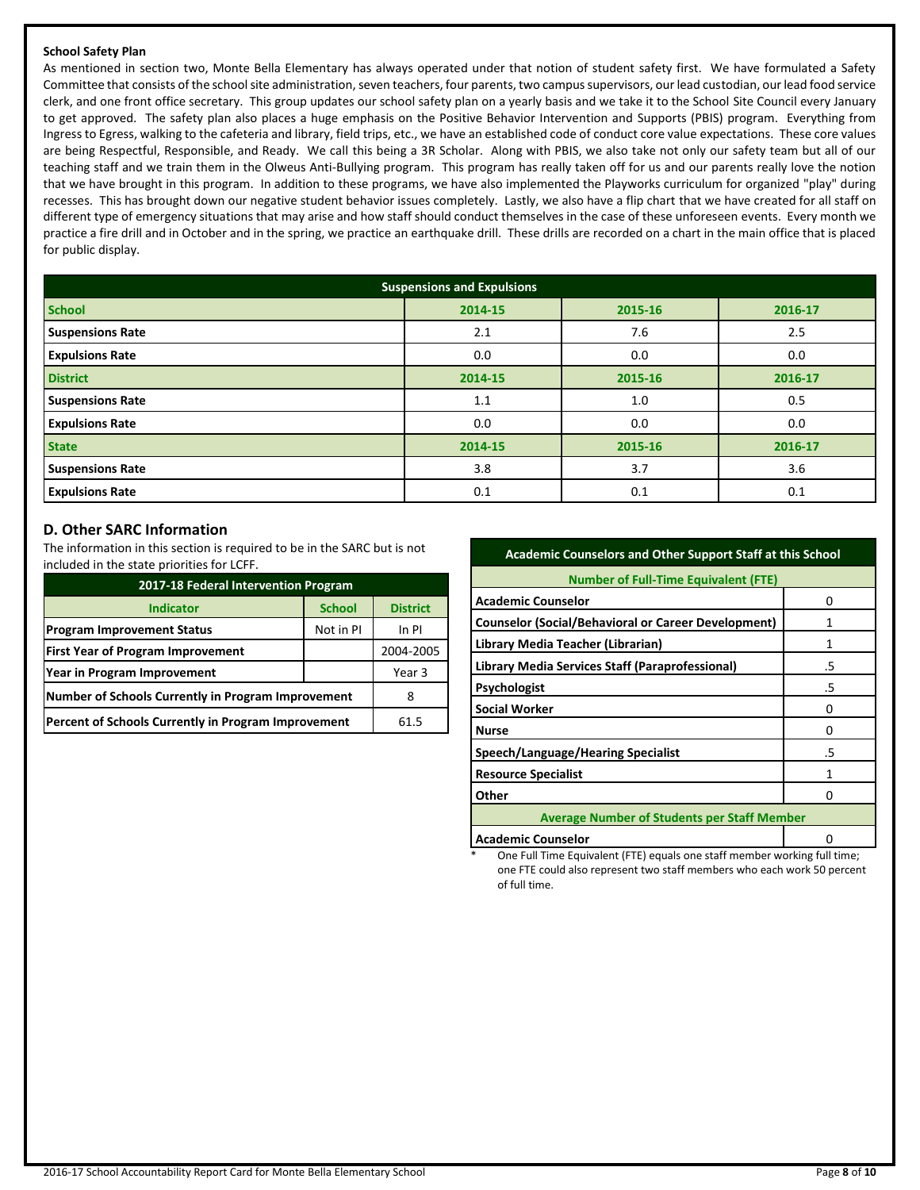#### **School Safety Plan**

As mentioned in section two, Monte Bella Elementary has always operated under that notion of student safety first. We have formulated a Safety Committee that consists of the school site administration, seven teachers, four parents, two campus supervisors, our lead custodian, our lead food service clerk, and one front office secretary. This group updates our school safety plan on a yearly basis and we take it to the School Site Council every January to get approved. The safety plan also places a huge emphasis on the Positive Behavior Intervention and Supports (PBIS) program. Everything from Ingress to Egress, walking to the cafeteria and library, field trips, etc., we have an established code of conduct core value expectations. These core values are being Respectful, Responsible, and Ready. We call this being a 3R Scholar. Along with PBIS, we also take not only our safety team but all of our teaching staff and we train them in the Olweus Anti-Bullying program. This program has really taken off for us and our parents really love the notion that we have brought in this program. In addition to these programs, we have also implemented the Playworks curriculum for organized "play" during recesses. This has brought down our negative student behavior issues completely. Lastly, we also have a flip chart that we have created for all staff on different type of emergency situations that may arise and how staff should conduct themselves in the case of these unforeseen events. Every month we practice a fire drill and in October and in the spring, we practice an earthquake drill. These drills are recorded on a chart in the main office that is placed for public display.

| <b>Suspensions and Expulsions</b> |         |         |         |  |  |
|-----------------------------------|---------|---------|---------|--|--|
| <b>School</b>                     | 2014-15 | 2015-16 | 2016-17 |  |  |
| <b>Suspensions Rate</b>           | 2.1     | 7.6     | 2.5     |  |  |
| <b>Expulsions Rate</b>            | 0.0     | 0.0     | 0.0     |  |  |
| <b>District</b>                   | 2014-15 | 2015-16 | 2016-17 |  |  |
| <b>Suspensions Rate</b>           | 1.1     | 1.0     | 0.5     |  |  |
| <b>Expulsions Rate</b>            | 0.0     | 0.0     | 0.0     |  |  |
| <b>State</b>                      | 2014-15 | 2015-16 | 2016-17 |  |  |
| <b>Suspensions Rate</b>           | 3.8     | 3.7     | 3.6     |  |  |
| <b>Expulsions Rate</b>            | 0.1     | 0.1     | 0.1     |  |  |

# **D. Other SARC Information**

The information in this section is required to be in the SARC but is not included in the state priorities for LCFF.

| 2017-18 Federal Intervention Program                |               |                 |  |  |
|-----------------------------------------------------|---------------|-----------------|--|--|
| <b>Indicator</b>                                    | <b>School</b> | <b>District</b> |  |  |
| <b>Program Improvement Status</b>                   | Not in PI     | In PI           |  |  |
| <b>First Year of Program Improvement</b>            | 2004-2005     |                 |  |  |
| Year in Program Improvement                         | Year 3        |                 |  |  |
| Number of Schools Currently in Program Improvement  | 8             |                 |  |  |
| Percent of Schools Currently in Program Improvement | 61.5          |                 |  |  |

#### **Academic Counselors and Other Support Staff at this School**

| <b>Number of Full-Time Equivalent (FTE)</b>                |    |  |  |  |
|------------------------------------------------------------|----|--|--|--|
| <b>Academic Counselor</b>                                  | O  |  |  |  |
| <b>Counselor (Social/Behavioral or Career Development)</b> |    |  |  |  |
| Library Media Teacher (Librarian)                          | 1  |  |  |  |
| Library Media Services Staff (Paraprofessional)            | .5 |  |  |  |
| Psychologist                                               | .5 |  |  |  |
| <b>Social Worker</b>                                       | O  |  |  |  |
| <b>Nurse</b>                                               | ŋ  |  |  |  |
| <b>Speech/Language/Hearing Specialist</b>                  | .5 |  |  |  |
| <b>Resource Specialist</b>                                 |    |  |  |  |
| Other                                                      |    |  |  |  |
| <b>Average Number of Students per Staff Member</b>         |    |  |  |  |
| <b>Academic Counselor</b>                                  |    |  |  |  |

One Full Time Equivalent (FTE) equals one staff member working full time; one FTE could also represent two staff members who each work 50 percent of full time.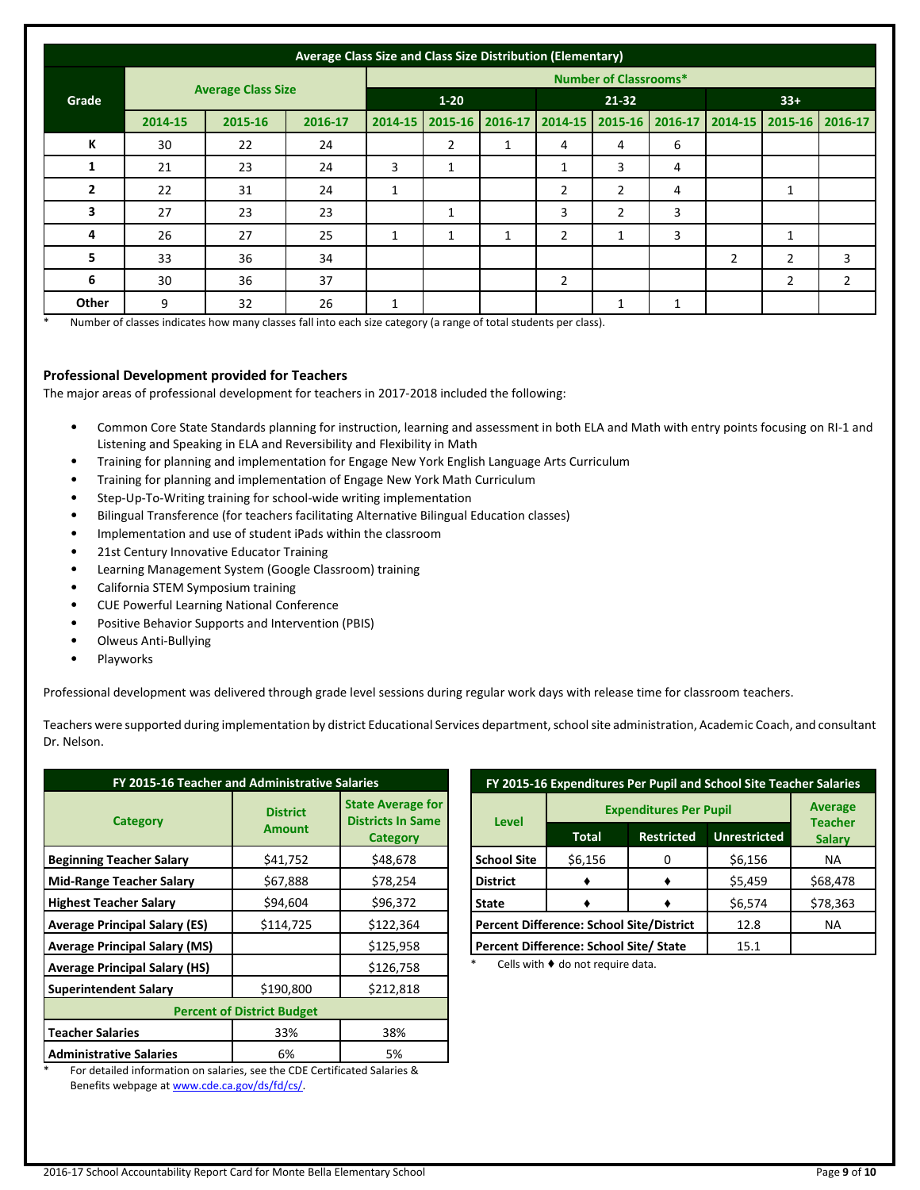| Average Class Size and Class Size Distribution (Elementary) |                              |                           |         |         |                   |                   |                |                |                         |   |                 |                |
|-------------------------------------------------------------|------------------------------|---------------------------|---------|---------|-------------------|-------------------|----------------|----------------|-------------------------|---|-----------------|----------------|
|                                                             | <b>Number of Classrooms*</b> |                           |         |         |                   |                   |                |                |                         |   |                 |                |
| Grade                                                       |                              | <b>Average Class Size</b> |         |         | $1 - 20$<br>21-32 |                   |                | $33+$          |                         |   |                 |                |
|                                                             | 2014-15                      | 2015-16                   | 2016-17 | 2014-15 |                   | 2015-16   2016-17 | 2014-15        |                | 2015-16 2016-17 2014-15 |   | 2015-16 2016-17 |                |
| К                                                           | 30                           | 22                        | 24      |         | 2                 |                   | 4              | 4              | 6                       |   |                 |                |
| 1                                                           | 21                           | 23                        | 24      | 3       | 1                 |                   | 1              | 3              | 4                       |   |                 |                |
| $\overline{2}$                                              | 22                           | 31                        | 24      | 1       |                   |                   | $\overline{2}$ | $\overline{2}$ | 4                       |   | $\mathbf{1}$    |                |
| 3                                                           | 27                           | 23                        | 23      |         | $\mathbf{1}$      |                   | 3              | $\overline{2}$ | 3                       |   |                 |                |
| 4                                                           | 26                           | 27                        | 25      | 1       | $\mathbf{1}$      | $\mathbf{1}$      | $\overline{2}$ | 1              | 3                       |   | $\mathbf{1}$    |                |
| 5                                                           | 33                           | 36                        | 34      |         |                   |                   |                |                |                         | 2 | $\overline{2}$  | 3              |
| 6                                                           | 30                           | 36                        | 37      |         |                   |                   | $\overline{2}$ |                |                         |   | $\overline{2}$  | $\overline{2}$ |
| Other                                                       | 9                            | 32                        | 26      | 1       |                   |                   |                | 1              | 1                       |   |                 |                |

Number of classes indicates how many classes fall into each size category (a range of total students per class).

#### **Professional Development provided for Teachers**

The major areas of professional development for teachers in 2017-2018 included the following:

- Common Core State Standards planning for instruction, learning and assessment in both ELA and Math with entry points focusing on RI-1 and Listening and Speaking in ELA and Reversibility and Flexibility in Math
- Training for planning and implementation for Engage New York English Language Arts Curriculum
- Training for planning and implementation of Engage New York Math Curriculum
- Step-Up-To-Writing training for school-wide writing implementation
- Bilingual Transference (for teachers facilitating Alternative Bilingual Education classes)
- Implementation and use of student iPads within the classroom
- 21st Century Innovative Educator Training
- Learning Management System (Google Classroom) training
- California STEM Symposium training
- CUE Powerful Learning National Conference
- Positive Behavior Supports and Intervention (PBIS)
- Olweus Anti-Bullying
- **Playworks**

Professional development was delivered through grade level sessions during regular work days with release time for classroom teachers.

Teachers were supported during implementation by district Educational Services department, school site administration, Academic Coach, and consultant Dr. Nelson.

| FY 2015-16 Teacher and Administrative Salaries                   |                                                                                           |                                                                         |  |  |  |
|------------------------------------------------------------------|-------------------------------------------------------------------------------------------|-------------------------------------------------------------------------|--|--|--|
| <b>Category</b>                                                  | <b>District</b><br><b>Amount</b>                                                          | <b>State Average for</b><br><b>Districts In Same</b><br><b>Category</b> |  |  |  |
| <b>Beginning Teacher Salary</b>                                  | \$41,752                                                                                  | \$48,678                                                                |  |  |  |
| <b>Mid-Range Teacher Salary</b>                                  | \$67,888                                                                                  | \$78,254                                                                |  |  |  |
| <b>Highest Teacher Salary</b>                                    | \$94,604                                                                                  | \$96,372                                                                |  |  |  |
| <b>Average Principal Salary (ES)</b>                             | \$114,725                                                                                 | \$122,364                                                               |  |  |  |
| <b>Average Principal Salary (MS)</b>                             |                                                                                           | \$125,958                                                               |  |  |  |
| <b>Average Principal Salary (HS)</b>                             |                                                                                           | \$126,758                                                               |  |  |  |
| <b>Superintendent Salary</b>                                     | \$190,800                                                                                 | \$212,818                                                               |  |  |  |
| <b>Percent of District Budget</b>                                |                                                                                           |                                                                         |  |  |  |
| <b>Teacher Salaries</b>                                          | 33%                                                                                       | 38%                                                                     |  |  |  |
| <b>Administrative Salaries</b><br>せっしょ はっしょうせい はけいてん しゅうしゅうしょうしょ | 5%<br>$\mathbf{a}$ is a contract of the set of $\mathbf{c}$ is a contract of $\mathbf{c}$ |                                                                         |  |  |  |

For detailed information on salaries, see the CDE Certificated Salaries & Benefits webpage a[t www.cde.ca.gov/ds/fd/cs/.](http://www.cde.ca.gov/ds/fd/cs/)

| FY 2015-16 Expenditures Per Pupil and School Site Teacher Salaries |                                                                          |      |         |          |  |  |
|--------------------------------------------------------------------|--------------------------------------------------------------------------|------|---------|----------|--|--|
|                                                                    | <b>Average</b><br><b>Teacher</b>                                         |      |         |          |  |  |
|                                                                    | <b>Level</b><br><b>Unrestricted</b><br><b>Restricted</b><br><b>Total</b> |      |         |          |  |  |
| <b>School Site</b>                                                 | \$6,156                                                                  | 0    | \$6,156 | NА       |  |  |
| <b>District</b>                                                    |                                                                          |      | \$5,459 | \$68,478 |  |  |
| <b>State</b>                                                       |                                                                          |      |         | \$78,363 |  |  |
|                                                                    | <b>Percent Difference: School Site/District</b>                          | 12.8 | NA.     |          |  |  |
| Percent Difference: School Site/ State<br>15.1                     |                                                                          |      |         |          |  |  |

Cells with  $\blacklozenge$  do not require data.